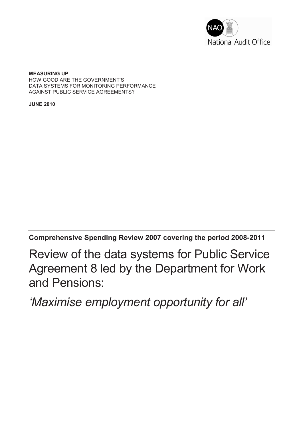

**MEASURING UP**  HOW GOOD ARE THE GOVERNMENT'S DATA SYSTEMS FOR MONITORING PERFORMANCE AGAINST PUBLIC SERVICE AGREEMENTS?

**JUNE 2010**

**Comprehensive Spending Review 2007 covering the period 2008-2011** 

Review of the data systems for Public Service Agreement 8 led by the Department for Work and Pensions:

*'Maximise employment opportunity for all'*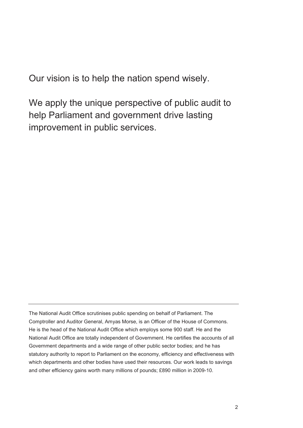Our vision is to help the nation spend wisely.

We apply the unique perspective of public audit to help Parliament and government drive lasting improvement in public services.

The National Audit Office scrutinises public spending on behalf of Parliament. The Comptroller and Auditor General, Amyas Morse, is an Officer of the House of Commons. He is the head of the National Audit Office which employs some 900 staff. He and the National Audit Office are totally independent of Government. He certifies the accounts of all Government departments and a wide range of other public sector bodies; and he has statutory authority to report to Parliament on the economy, efficiency and effectiveness with which departments and other bodies have used their resources. Our work leads to savings and other efficiency gains worth many millions of pounds; £890 million in 2009-10.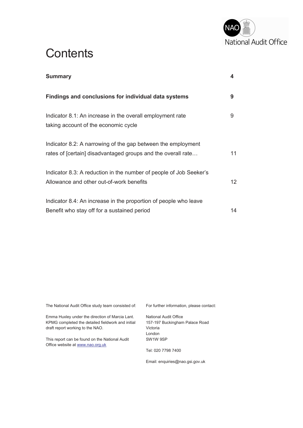

# **Contents**

| <b>Summary</b>                                                                                                               | 4  |
|------------------------------------------------------------------------------------------------------------------------------|----|
| Findings and conclusions for individual data systems                                                                         | 9  |
| Indicator 8.1: An increase in the overall employment rate<br>taking account of the economic cycle                            | 9  |
| Indicator 8.2: A narrowing of the gap between the employment<br>rates of [certain] disadvantaged groups and the overall rate | 11 |
| Indicator 8.3: A reduction in the number of people of Job Seeker's<br>Allowance and other out-of-work benefits               | 12 |
| Indicator 8.4: An increase in the proportion of people who leave<br>Benefit who stay off for a sustained period              | 14 |

The National Audit Office study team consisted of: Emma Huxley under the direction of Marcia Lant. KPMG completed the detailed fieldwork and initial draft report working to the NAO. This report can be found on the National Audit Office website at www.nao.org.uk For further information, please contact: National Audit Office 157-197 Buckingham Palace Road Victoria London SW1W 9SP Tel: 020 7798 7400

Email: enquiries@nao.gsi.gov.uk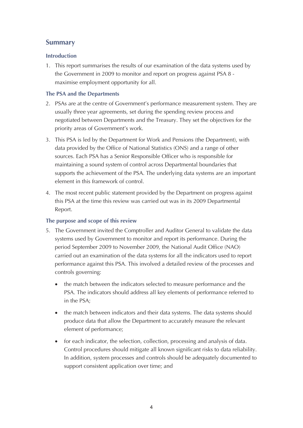# **Summary**

# **Introduction**

1. This report summarises the results of our examination of the data systems used by the Government in 2009 to monitor and report on progress against PSA 8 maximise employment opportunity for all.

## **The PSA and the Departments**

- 2. PSAs are at the centre of Government's performance measurement system. They are usually three year agreements, set during the spending review process and negotiated between Departments and the Treasury. They set the objectives for the priority areas of Government's work.
- 3. This PSA is led by the Department for Work and Pensions (the Department), with data provided by the Office of National Statistics (ONS) and a range of other sources. Each PSA has a Senior Responsible Officer who is responsible for maintaining a sound system of control across Departmental boundaries that supports the achievement of the PSA. The underlying data systems are an important element in this framework of control.
- 4. The most recent public statement provided by the Department on progress against this PSA at the time this review was carried out was in its 2009 Departmental Report.

# **The purpose and scope of this review**

- 5. The Government invited the Comptroller and Auditor General to validate the data systems used by Government to monitor and report its performance. During the period September 2009 to November 2009, the National Audit Office (NAO) carried out an examination of the data systems for all the indicators used to report performance against this PSA. This involved a detailed review of the processes and controls governing:
	- the match between the indicators selected to measure performance and the PSA. The indicators should address all key elements of performance referred to in the PSA;
	- · the match between indicators and their data systems. The data systems should produce data that allow the Department to accurately measure the relevant element of performance;
	- for each indicator, the selection, collection, processing and analysis of data. Control procedures should mitigate all known significant risks to data reliability. In addition, system processes and controls should be adequately documented to support consistent application over time; and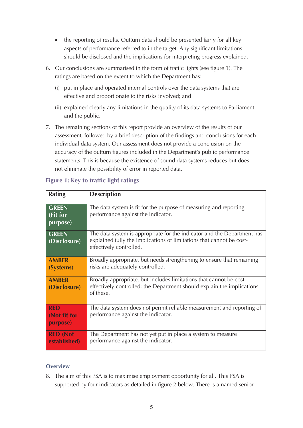- the reporting of results. Outturn data should be presented fairly for all key aspects of performance referred to in the target. Any significant limitations should be disclosed and the implications for interpreting progress explained.
- 6. Our conclusions are summarised in the form of traffic lights (see figure 1). The ratings are based on the extent to which the Department has:
	- (i) put in place and operated internal controls over the data systems that are effective and proportionate to the risks involved; and
	- (ii) explained clearly any limitations in the quality of its data systems to Parliament and the public.
- 7. The remaining sections of this report provide an overview of the results of our assessment, followed by a brief description of the findings and conclusions for each individual data system. Our assessment does not provide a conclusion on the accuracy of the outturn figures included in the Department's public performance statements. This is because the existence of sound data systems reduces but does not eliminate the possibility of error in reported data.

| <b>Rating</b>                          | <b>Description</b>                                                                                                                                                         |  |  |
|----------------------------------------|----------------------------------------------------------------------------------------------------------------------------------------------------------------------------|--|--|
| <b>GREEN</b><br>(Fit for<br>purpose)   | The data system is fit for the purpose of measuring and reporting<br>performance against the indicator.                                                                    |  |  |
| <b>GREEN</b><br>(Disclosure)           | The data system is appropriate for the indicator and the Department has<br>explained fully the implications of limitations that cannot be cost-<br>effectively controlled. |  |  |
| <b>AMBER</b><br>(Systems)              | Broadly appropriate, but needs strengthening to ensure that remaining<br>risks are adequately controlled.                                                                  |  |  |
| <b>AMBER</b><br>(Disclosure)           | Broadly appropriate, but includes limitations that cannot be cost-<br>effectively controlled; the Department should explain the implications<br>of these.                  |  |  |
| <b>RED</b><br>(Not fit for<br>purpose) | The data system does not permit reliable measurement and reporting of<br>performance against the indicator.                                                                |  |  |
| <b>RED (Not</b><br>established)        | The Department has not yet put in place a system to measure<br>performance against the indicator.                                                                          |  |  |

# **Figure 1: Key to traffic light ratings**

# **Overview**

8. The aim of this PSA is to maximise employment opportunity for all. This PSA is supported by four indicators as detailed in figure 2 below. There is a named senior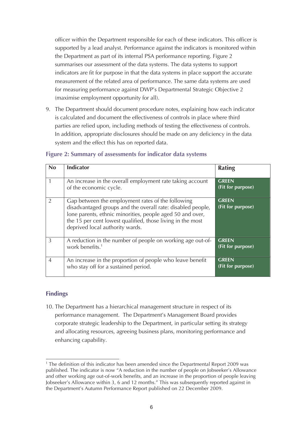officer within the Department responsible for each of these indicators. This officer is supported by a lead analyst. Performance against the indicators is monitored within the Department as part of its internal PSA performance reporting. Figure 2 summarises our assessment of the data systems. The data systems to support indicators are fit for purpose in that the data systems in place support the accurate measurement of the related area of performance. The same data systems are used for measuring performance against DWP's Departmental Strategic Objective 2 (maximise employment opportunity for all).

9. The Department should document procedure notes, explaining how each indicator is calculated and document the effectiveness of controls in place where third parties are relied upon, including methods of testing the effectiveness of controls. In addition, appropriate disclosures should be made on any deficiency in the data system and the effect this has on reported data.

| <b>No</b>      | <b>Indicator</b>                                                                                                                                                                                                                                                               | <b>Rating</b>                     |
|----------------|--------------------------------------------------------------------------------------------------------------------------------------------------------------------------------------------------------------------------------------------------------------------------------|-----------------------------------|
|                | An increase in the overall employment rate taking account<br>of the economic cycle.                                                                                                                                                                                            | <b>GREEN</b><br>(Fit for purpose) |
| $\mathfrak{D}$ | Gap between the employment rates of the following<br>disadvantaged groups and the overall rate: disabled people,<br>lone parents, ethnic minorities, people aged 50 and over,<br>the 15 per cent lowest qualified, those living in the most<br>deprived local authority wards. | <b>GREEN</b><br>(Fit for purpose) |
| 3              | A reduction in the number of people on working age out-of-<br>work benefits. <sup>1</sup>                                                                                                                                                                                      | <b>GREEN</b><br>(Fit for purpose) |
| $\overline{4}$ | An increase in the proportion of people who leave benefit<br>who stay off for a sustained period.                                                                                                                                                                              | <b>GREEN</b><br>(Fit for purpose) |

### **Figure 2: Summary of assessments for indicator data systems**

# **Findings**

10. The Department has a hierarchical management structure in respect of its performance management. The Department's Management Board provides corporate strategic leadership to the Department, in particular setting its strategy and allocating resources, agreeing business plans, monitoring performance and enhancing capability.

<sup>&</sup>lt;sup>1</sup> The definition of this indicator has been amended since the Departmental Report 2009 was published. The indicator is now "A reduction in the number of people on Jobseeker's Allowance and other working age out-of-work benefits, and an increase in the proportion of people leaving Jobseeker's Allowance within 3, 6 and 12 months." This was subsequently reported against in the Department's Autumn Performance Report published on 22 December 2009.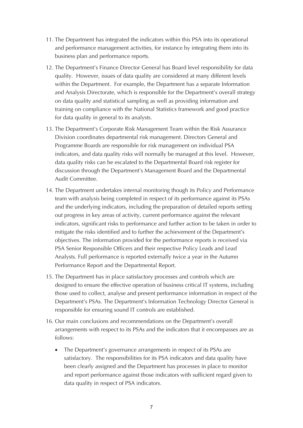- 11. The Department has integrated the indicators within this PSA into its operational and performance management activities, for instance by integrating them into its business plan and performance reports.
- 12. The Department's Finance Director General has Board level responsibility for data quality. However, issues of data quality are considered at many different levels within the Department. For example, the Department has a separate Information and Analysis Directorate, which is responsible for the Department's overall strategy on data quality and statistical sampling as well as providing information and training on compliance with the National Statistics framework and good practice for data quality in general to its analysts.
- 13. The Department's Corporate Risk Management Team within the Risk Assurance Division coordinates departmental risk management. Directors General and Programme Boards are responsible for risk management on individual PSA indicators, and data quality risks will normally be managed at this level. However, data quality risks can be escalated to the Departmental Board risk register for discussion through the Department's Management Board and the Departmental Audit Committee.
- 14. The Department undertakes internal monitoring though its Policy and Performance team with analysis being completed in respect of its performance against its PSAs and the underlying indicators, including the preparation of detailed reports setting out progress in key areas of activity, current performance against the relevant indicators, significant risks to performance and further action to be taken in order to mitigate the risks identified and to further the achievement of the Department's objectives. The information provided for the performance reports is received via PSA Senior Responsible Officers and their respective Policy Leads and Lead Analysts. Full performance is reported externally twice a year in the Autumn Performance Report and the Departmental Report.
- 15. The Department has in place satisfactory processes and controls which are designed to ensure the effective operation of business critical IT systems, including those used to collect, analyse and present performance information in respect of the Department's PSAs. The Department's Information Technology Director General is responsible for ensuring sound IT controls are established.
- 16. Our main conclusions and recommendations on the Department's overall arrangements with respect to its PSAs and the indicators that it encompasses are as follows:
	- The Department's governance arrangements in respect of its PSAs are satisfactory. The responsibilities for its PSA indicators and data quality have been clearly assigned and the Department has processes in place to monitor and report performance against those indicators with sufficient regard given to data quality in respect of PSA indicators.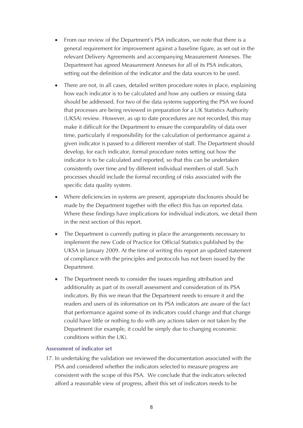- From our review of the Department's PSA indicators, we note that there is a general requirement for improvement against a baseline figure, as set out in the relevant Delivery Agreements and accompanying Measurement Annexes. The Department has agreed Measurement Annexes for all of its PSA indicators, setting out the definition of the indicator and the data sources to be used.
- There are not, in all cases, detailed written procedure notes in place, explaining how each indicator is to be calculated and how any outliers or missing data should be addressed. For two of the data systems supporting the PSA we found that processes are being reviewed in preparation for a UK Statistics Authority (UKSA) review. However, as up to date procedures are not recorded, this may make it difficult for the Department to ensure the comparability of data over time, particularly if responsibility for the calculation of performance against a given indicator is passed to a different member of staff. The Department should develop, for each indicator, formal procedure notes setting out how the indicator is to be calculated and reported, so that this can be undertaken consistently over time and by different individual members of staff. Such processes should include the formal recording of risks associated with the specific data quality system.
- Where deficiencies in systems are present, appropriate disclosures should be made by the Department together with the effect this has on reported data. Where these findings have implications for individual indicators, we detail them in the next section of this report.
- The Department is currently putting in place the arrangements necessary to implement the new Code of Practice for Official Statistics published by the UKSA in January 2009. At the time of writing this report an updated statement of compliance with the principles and protocols has not been issued by the Department.
- The Department needs to consider the issues regarding attribution and additionality as part of its overall assessment and consideration of its PSA indicators. By this we mean that the Department needs to ensure it and the readers and users of its information on its PSA indicators are aware of the fact that performance against some of its indicators could change and that change could have little or nothing to do with any actions taken or not taken by the Department (for example, it could be simply due to changing economic conditions within the UK).

#### **Assessment of indicator set**

17. In undertaking the validation we reviewed the documentation associated with the PSA and considered whether the indicators selected to measure progress are consistent with the scope of this PSA. We conclude that the indicators selected afford a reasonable view of progress, albeit this set of indicators needs to be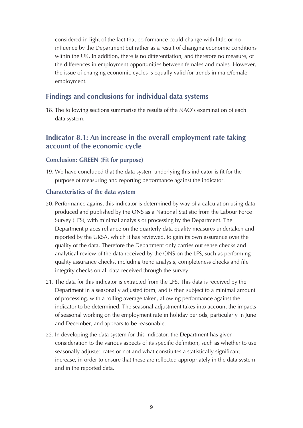considered in light of the fact that performance could change with little or no influence by the Department but rather as a result of changing economic conditions within the UK. In addition, there is no differentiation, and therefore no measure, of the differences in employment opportunities between females and males. However, the issue of changing economic cycles is equally valid for trends in male/female employment.

# **Findings and conclusions for individual data systems**

18. The following sections summarise the results of the NAO's examination of each data system.

# **Indicator 8.1: An increase in the overall employment rate taking account of the economic cycle**

# **Conclusion: GREEN (Fit for purpose)**

19. We have concluded that the data system underlying this indicator is fit for the purpose of measuring and reporting performance against the indicator.

### **Characteristics of the data system**

- 20. Performance against this indicator is determined by way of a calculation using data produced and published by the ONS as a National Statistic from the Labour Force Survey (LFS), with minimal analysis or processing by the Department. The Department places reliance on the quarterly data quality measures undertaken and reported by the UKSA, which it has reviewed, to gain its own assurance over the quality of the data. Therefore the Department only carries out sense checks and analytical review of the data received by the ONS on the LFS, such as performing quality assurance checks, including trend analysis, completeness checks and file integrity checks on all data received through the survey.
- 21. The data for this indicator is extracted from the LFS. This data is received by the Department in a seasonally adjusted form, and is then subject to a minimal amount of processing, with a rolling average taken, allowing performance against the indicator to be determined. The seasonal adjustment takes into account the impacts of seasonal working on the employment rate in holiday periods, particularly in June and December, and appears to be reasonable.
- 22. In developing the data system for this indicator, the Department has given consideration to the various aspects of its specific definition, such as whether to use seasonally adjusted rates or not and what constitutes a statistically significant increase, in order to ensure that these are reflected appropriately in the data system and in the reported data.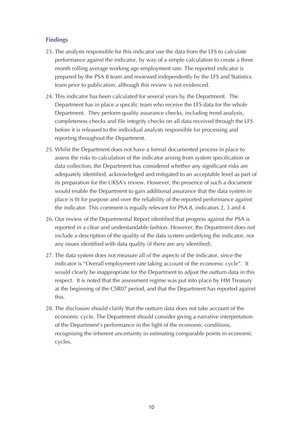# **Findings**

- 23. The analysts responsible for this indicator use the data from the LFS to calculate performance against the indicator, by way of a simple calculation to create a three month rolling average working age employment rate. The reported indicator is prepared by the PSA 8 team and reviewed independently by the LFS and Statistics team prior to publication, although this review is not evidenced.
- 24. This indicator has been calculated for several years by the Department. The Department has in place a specific team who receive the LFS data for the whole Department. They perform quality assurance checks, including trend analysis, completeness checks and file integrity checks on all data received through the LFS before it is released to the individual analysts responsible for processing and reporting throughout the Department.
- 25. Whilst the Department does not have a formal documented process in place to assess the risks to calculation of the indicator arising from system specification or data collection, the Department has considered whether any significant risks are adequately identified, acknowledged and mitigated to an acceptable level as part of its preparation for the UKSA's review. However, the presence of such a document would enable the Department to gain additional assurance that the data system in place is fit for purpose and over the reliability of the reported performance against the indicator. This comment is equally relevant for PSA 8, indicators 2, 3 and 4.
- 26. Our review of the Departmental Report identified that progress against the PSA is reported in a clear and understandable fashion. However, the Department does not include a description of the quality of the data system underlying the indicator, nor any issues identified with data quality (if there are any identified).
- 27. The data system does not measure all of the aspects of the indicator, since the indicator is "Overall employment rate taking account of the economic cycle". It would clearly be inappropriate for the Department to adjust the outturn data in this respect. It is noted that the assessment regime was put into place by HM Treasury at the beginning of the CSR07 period, and that the Department has reported against this.
- 28. The disclosure should clarify that the outturn data does not take account of the economic cycle. The Department should consider giving a narrative interpretation of the Department's performance in the light of the economic conditions, recognising the inherent uncertainty in estimating comparable points in economic cycles.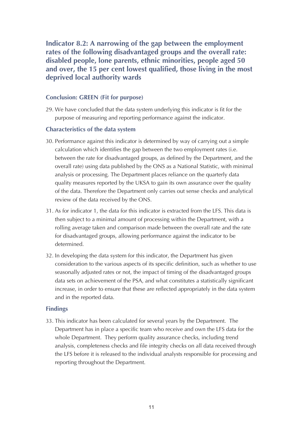**Indicator 8.2: A narrowing of the gap between the employment rates of the following disadvantaged groups and the overall rate: disabled people, lone parents, ethnic minorities, people aged 50 and over, the 15 per cent lowest qualified, those living in the most deprived local authority wards**

## **Conclusion: GREEN (Fit for purpose)**

29. We have concluded that the data system underlying this indicator is fit for the purpose of measuring and reporting performance against the indicator.

#### **Characteristics of the data system**

- 30. Performance against this indicator is determined by way of carrying out a simple calculation which identifies the gap between the two employment rates (i.e. between the rate for disadvantaged groups, as defined by the Department, and the overall rate) using data published by the ONS as a National Statistic, with minimal analysis or processing. The Department places reliance on the quarterly data quality measures reported by the UKSA to gain its own assurance over the quality of the data. Therefore the Department only carries out sense checks and analytical review of the data received by the ONS.
- 31. As for indicator 1, the data for this indicator is extracted from the LFS. This data is then subject to a minimal amount of processing within the Department, with a rolling average taken and comparison made between the overall rate and the rate for disadvantaged groups, allowing performance against the indicator to be determined.
- 32. In developing the data system for this indicator, the Department has given consideration to the various aspects of its specific definition, such as whether to use seasonally adjusted rates or not, the impact of timing of the disadvantaged groups data sets on achievement of the PSA, and what constitutes a statistically significant increase, in order to ensure that these are reflected appropriately in the data system and in the reported data.

#### **Findings**

33. This indicator has been calculated for several years by the Department. The Department has in place a specific team who receive and own the LFS data for the whole Department. They perform quality assurance checks, including trend analysis, completeness checks and file integrity checks on all data received through the LFS before it is released to the individual analysts responsible for processing and reporting throughout the Department.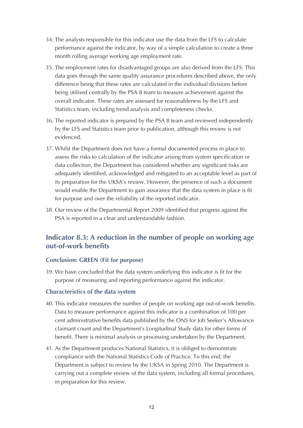- 34. The analysts responsible for this indicator use the data from the LFS to calculate performance against the indicator, by way of a simple calculation to create a three month rolling average working age employment rate.
- 35. The employment rates for disadvantaged groups are also derived from the LFS. This data goes through the same quality assurance procedures described above, the only difference being that these rates are calculated in the individual divisions before being utilised centrally by the PSA 8 team to measure achievement against the overall indicator. These rates are assessed for reasonableness by the LFS and Statistics team, including trend analysis and completeness checks.
- 36. The reported indicator is prepared by the PSA 8 team and reviewed independently by the LFS and Statistics team prior to publication, although this review is not evidenced.
- 37. Whilst the Department does not have a formal documented process in place to assess the risks to calculation of the indicator arising from system specification or data collection, the Department has considered whether any significant risks are adequately identified, acknowledged and mitigated to an acceptable level as part of its preparation for the UKSA's review. However, the presence of such a document would enable the Department to gain assurance that the data system in place is fit for purpose and over the reliability of the reported indicator.
- 38. Our review of the Departmental Report 2009 identified that progress against the PSA is reported in a clear and understandable fashion.

# **Indicator 8.3: A reduction in the number of people on working age out-of-work benefits**

# **Conclusion: GREEN (Fit for purpose)**

39. We have concluded that the data system underlying this indicator is fit for the purpose of measuring and reporting performance against the indicator.

# **Characteristics of the data system**

- 40. This indicator measures the number of people on working age out-of-work benefits. Data to measure performance against this indicator is a combination of 100 per cent administrative benefits data published by the ONS for Job Seeker's Allowance claimant count and the Department's Longitudinal Study data for other forms of benefit. There is minimal analysis or processing undertaken by the Department.
- 41. As the Department produces National Statistics, it is obliged to demonstrate compliance with the National Statistics Code of Practice. To this end, the Department is subject to review by the UKSA in Spring 2010. The Department is carrying out a complete review of the data system, including all formal procedures, in preparation for this review.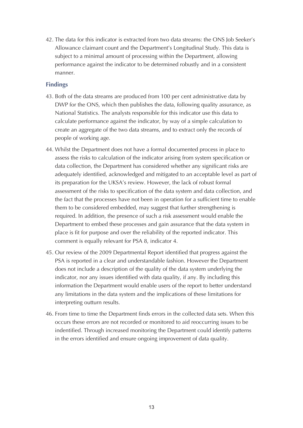42. The data for this indicator is extracted from two data streams: the ONS Job Seeker's Allowance claimant count and the Department's Longitudinal Study. This data is subject to a minimal amount of processing within the Department, allowing performance against the indicator to be determined robustly and in a consistent manner.

# **Findings**

- 43. Both of the data streams are produced from 100 per cent administrative data by DWP for the ONS, which then publishes the data, following quality assurance, as National Statistics. The analysts responsible for this indicator use this data to calculate performance against the indicator, by way of a simple calculation to create an aggregate of the two data streams, and to extract only the records of people of working age.
- 44. Whilst the Department does not have a formal documented process in place to assess the risks to calculation of the indicator arising from system specification or data collection, the Department has considered whether any significant risks are adequately identified, acknowledged and mitigated to an acceptable level as part of its preparation for the UKSA's review. However, the lack of robust formal assessment of the risks to specification of the data system and data collection, and the fact that the processes have not been in operation for a sufficient time to enable them to be considered embedded, may suggest that further strengthening is required. In addition, the presence of such a risk assessment would enable the Department to embed these processes and gain assurance that the data system in place is fit for purpose and over the reliability of the reported indicator. This comment is equally relevant for PSA 8, indicator 4.
- 45. Our review of the 2009 Departmental Report identified that progress against the PSA is reported in a clear and understandable fashion. However the Department does not include a description of the quality of the data system underlying the indicator, nor any issues identified with data quality, if any. By including this information the Department would enable users of the report to better understand any limitations in the data system and the implications of these limitations for interpreting outturn results.
- 46. From time to time the Department finds errors in the collected data sets. When this occurs these errors are not recorded or monitored to aid reoccurring issues to be indentified. Through increased monitoring the Department could identify patterns in the errors identified and ensure ongoing improvement of data quality.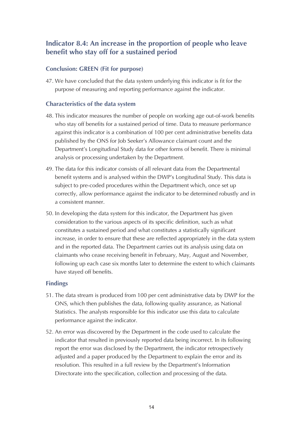# **Indicator 8.4: An increase in the proportion of people who leave benefit who stay off for a sustained period**

# **Conclusion: GREEN (Fit for purpose)**

47. We have concluded that the data system underlying this indicator is fit for the purpose of measuring and reporting performance against the indicator.

# **Characteristics of the data system**

- 48. This indicator measures the number of people on working age out-of-work benefits who stay off benefits for a sustained period of time. Data to measure performance against this indicator is a combination of 100 per cent administrative benefits data published by the ONS for Job Seeker's Allowance claimant count and the Department's Longitudinal Study data for other forms of benefit. There is minimal analysis or processing undertaken by the Department.
- 49. The data for this indicator consists of all relevant data from the Departmental benefit systems and is analysed within the DWP's Longitudinal Study. This data is subject to pre-coded procedures within the Department which, once set up correctly, allow performance against the indicator to be determined robustly and in a consistent manner.
- 50. In developing the data system for this indicator, the Department has given consideration to the various aspects of its specific definition, such as what constitutes a sustained period and what constitutes a statistically significant increase, in order to ensure that these are reflected appropriately in the data system and in the reported data. The Department carries out its analysis using data on claimants who cease receiving benefit in February, May, August and November, following up each case six months later to determine the extent to which claimants have stayed off benefits.

# **Findings**

- 51. The data stream is produced from 100 per cent administrative data by DWP for the ONS, which then publishes the data, following quality assurance, as National Statistics. The analysts responsible for this indicator use this data to calculate performance against the indicator.
- 52. An error was discovered by the Department in the code used to calculate the indicator that resulted in previously reported data being incorrect. In its following report the error was disclosed by the Department, the indicator retrospectively adjusted and a paper produced by the Department to explain the error and its resolution. This resulted in a full review by the Department's Information Directorate into the specification, collection and processing of the data.